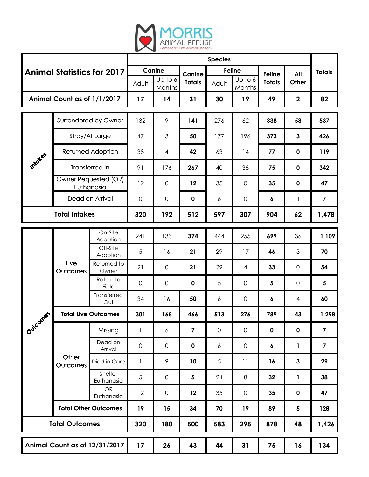

| <b>Animal Statistics for 2017</b> |                                    |                                  | <b>Species</b>      |                     |               |               |                     |               |                  |                         |
|-----------------------------------|------------------------------------|----------------------------------|---------------------|---------------------|---------------|---------------|---------------------|---------------|------------------|-------------------------|
|                                   |                                    |                                  | Canine              |                     | Canine        | <b>Feline</b> |                     | <b>Feline</b> | All              | <b>Totals</b>           |
|                                   |                                    |                                  | Adult               | Up to 6<br>Months   | <b>Totals</b> | Adult         | Up to 6<br>Months   | <b>Totals</b> | Other            |                         |
| Animal Count as of 1/1/2017       |                                    |                                  | 17                  | 14                  | 31            | 30            | 19                  | 49            | $\boldsymbol{2}$ | 82                      |
| Imidies                           | Surrendered by Owner               |                                  | 132                 | 9                   | 141           | 276           | 62                  | 338           | 58               | 537                     |
|                                   | Stray/At Large                     |                                  | 47                  | 3                   | 50            | 177           | 196                 | 373           | $\mathbf{3}$     | 426                     |
|                                   | <b>Returned Adoption</b>           |                                  | 38                  | 4                   | 42            | 63            | 14                  | 77            | $\pmb{0}$        | 119                     |
|                                   | Transferred In                     |                                  | 91                  | 176                 | 267           | 40            | 35                  | 75            | $\mathbf 0$      | 342                     |
|                                   | Owner Requested (OR)<br>Euthanasia |                                  | 12                  | $\overline{0}$      | 12            | 35            | 0                   | 35            | $\mathbf 0$      | 47                      |
|                                   | Dead on Arrival                    |                                  | $\mathsf{O}\xspace$ | $\mathsf{O}\xspace$ | $\mathbf 0$   | 6             | $\mathbf 0$         | 6             | 1                | $\overline{\mathbf{z}}$ |
| <b>Total Intakes</b>              |                                    |                                  | 320                 | 192                 | 512           | 597           | 307                 | 904           | 62               | 1,478                   |
| <b>.01785</b><br>Outch            | Live<br>Outcomes                   | On-Site                          | 241                 | 133                 | 374           | 444           | 255                 | 699           | 36               | 1,109                   |
|                                   |                                    | Adoption<br>Off-Site<br>Adoption | 5                   | 16                  | 21            | 29            | 17                  | 46            | $\mathfrak 3$    | 70                      |
|                                   |                                    | Returned to<br>Owner             | 21                  | 0                   | 21            | 29            | 4                   | 33            | $\mathbf 0$      | 54                      |
|                                   |                                    | Return to<br>Field               | $\mathsf{O}\xspace$ | $\overline{0}$      | $\mathbf 0$   | 5             | $\mathsf{O}\xspace$ | 5             | $\mathbf 0$      | 5                       |
|                                   |                                    | Transferred<br>Out               | 34                  | 16                  | 50            | 6             | 0                   | 6             | 4                | 60                      |
|                                   | <b>Total Live Outcomes</b>         |                                  | 301                 | 165                 | 466           | 513           | 276                 | 789           | 43               | 1,298                   |
|                                   | Other<br>Outcomes                  | Missing                          | 1                   | 6                   | 7             | $\mathbf 0$   | $\mathsf{O}\xspace$ | $\pmb{0}$     | $\pmb{0}$        | $\overline{\mathbf{z}}$ |
|                                   |                                    | Dead on<br>Arrival               | $\mathsf{O}\xspace$ | $\mathsf{O}\xspace$ | $\mathbf 0$   | 6             | $\mathsf{O}\xspace$ | 6             | 1                | $\overline{\mathbf{z}}$ |
|                                   |                                    | Died in Care                     | $\mathbf{1}$        | 9                   | 10            | 5             | 11                  | 16            | $\mathbf{3}$     | 29                      |
|                                   |                                    | Shelter<br>Euthanasia            | $\sqrt{5}$          | $\mathsf O$         | $\sqrt{5}$    | 24            | 8                   | 32            | 1                | 38                      |
|                                   |                                    | <b>OR</b><br>Euthanasia          | 12                  | $\mathsf O$         | 12            | 35            | 0                   | 35            | $\pmb{0}$        | 47                      |
|                                   | <b>Total Other Outcomes</b>        |                                  | 19                  | 15                  | 34            | 70            | 19                  | 89            | ${\bf 5}$        | 128                     |
| <b>Total Outcomes</b>             |                                    |                                  | 320                 | 180                 | 500           | 583           | 295                 | 878           | 48               | 1,426                   |
| Animal Count as of 12/31/2017     |                                    | 17                               | 26                  | 43                  | 44            | 31            | 75                  | 16            | 134              |                         |
|                                   |                                    |                                  |                     |                     |               |               |                     |               |                  |                         |